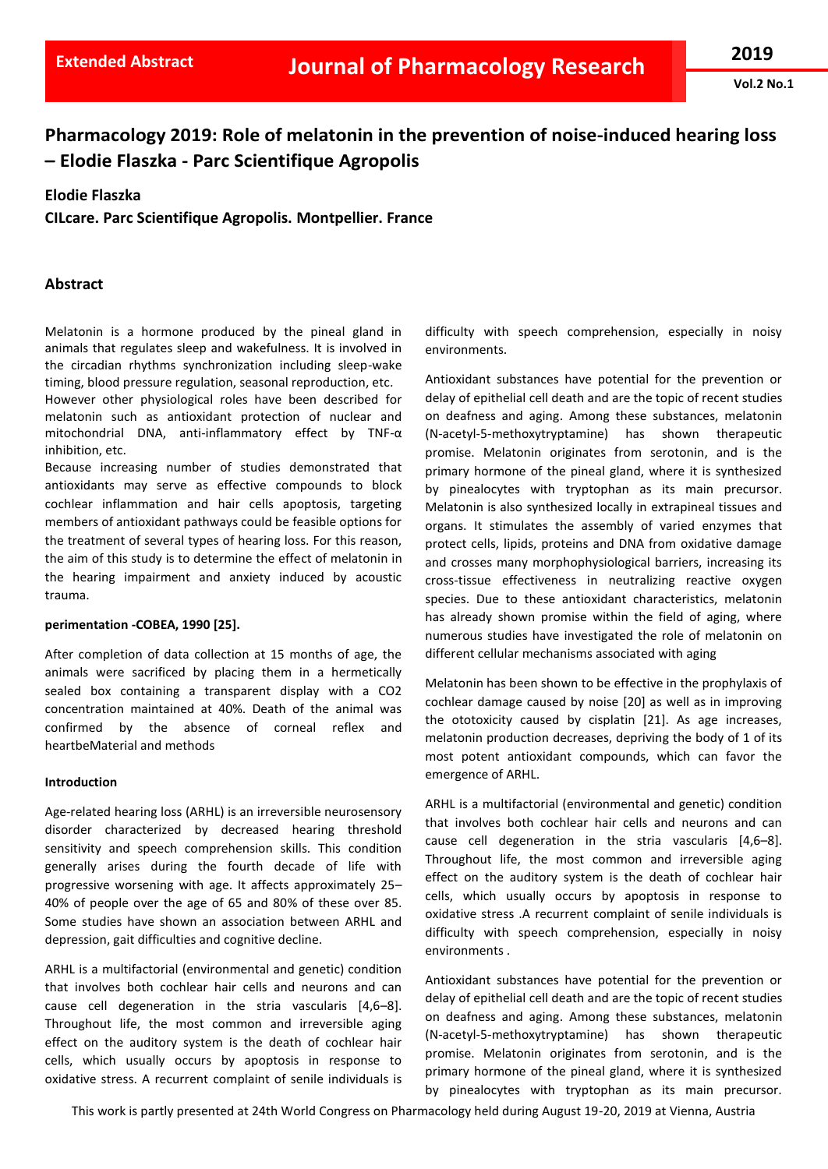**Vol.2 No.1**

# **Pharmacology 2019: Role of melatonin in the prevention of noise-induced hearing loss – Elodie Flaszka - Parc Scientifique Agropolis**

#### **Elodie Flaszka**

**CILcare. Parc Scientifique Agropolis. Montpellier. France**

## **Abstract**

Melatonin is a hormone produced by the pineal gland in animals that regulates sleep and wakefulness. It is involved in the circadian rhythms synchronization including sleep-wake timing, blood pressure regulation, seasonal reproduction, etc.

However other physiological roles have been described for melatonin such as antioxidant protection of nuclear and mitochondrial DNA, anti-inflammatory effect by TNF-α inhibition, etc.

Because increasing number of studies demonstrated that antioxidants may serve as effective compounds to block cochlear inflammation and hair cells apoptosis, targeting members of antioxidant pathways could be feasible options for the treatment of several types of hearing loss. For this reason, the aim of this study is to determine the effect of melatonin in the hearing impairment and anxiety induced by acoustic trauma.

#### **perimentation -COBEA, 1990 [25].**

After completion of data collection at 15 months of age, the animals were sacrificed by placing them in a hermetically sealed box containing a transparent display with a CO2 concentration maintained at 40%. Death of the animal was confirmed by the absence of corneal reflex and heartbeMaterial and methods

#### **Introduction**

Age-related hearing loss (ARHL) is an irreversible neurosensory disorder characterized by decreased hearing threshold sensitivity and speech comprehension skills. This condition generally arises during the fourth decade of life with progressive worsening with age. It affects approximately 25– 40% of people over the age of 65 and 80% of these over 85. Some studies have shown an association between ARHL and depression, gait difficulties and cognitive decline.

ARHL is a multifactorial (environmental and genetic) condition that involves both cochlear hair cells and neurons and can cause cell degeneration in the stria vascularis [4,6–8]. Throughout life, the most common and irreversible aging effect on the auditory system is the death of cochlear hair cells, which usually occurs by apoptosis in response to oxidative stress. A recurrent complaint of senile individuals is difficulty with speech comprehension, especially in noisy environments.

Antioxidant substances have potential for the prevention or delay of epithelial cell death and are the topic of recent studies on deafness and aging. Among these substances, melatonin (N-acetyl-5-methoxytryptamine) has shown therapeutic promise. Melatonin originates from serotonin, and is the primary hormone of the pineal gland, where it is synthesized by pinealocytes with tryptophan as its main precursor. Melatonin is also synthesized locally in extrapineal tissues and organs. It stimulates the assembly of varied enzymes that protect cells, lipids, proteins and DNA from oxidative damage and crosses many morphophysiological barriers, increasing its cross-tissue effectiveness in neutralizing reactive oxygen species. Due to these antioxidant characteristics, melatonin has already shown promise within the field of aging, where numerous studies have investigated the role of melatonin on different cellular mechanisms associated with aging

Melatonin has been shown to be effective in the prophylaxis of cochlear damage caused by noise [20] as well as in improving the ototoxicity caused by cisplatin [21]. As age increases, melatonin production decreases, depriving the body of 1 of its most potent antioxidant compounds, which can favor the emergence of ARHL.

ARHL is a multifactorial (environmental and genetic) condition that involves both cochlear hair cells and neurons and can cause cell degeneration in the stria vascularis [4,6–8]. Throughout life, the most common and irreversible aging effect on the auditory system is the death of cochlear hair cells, which usually occurs by apoptosis in response to oxidative stress .A recurrent complaint of senile individuals is difficulty with speech comprehension, especially in noisy environments .

Antioxidant substances have potential for the prevention or delay of epithelial cell death and are the topic of recent studies on deafness and aging. Among these substances, melatonin (N-acetyl-5-methoxytryptamine) has shown therapeutic promise. Melatonin originates from serotonin, and is the primary hormone of the pineal gland, where it is synthesized by pinealocytes with tryptophan as its main precursor.

This work is partly presented at 24th World Congress on Pharmacology held during August 19-20, 2019 at Vienna, Austria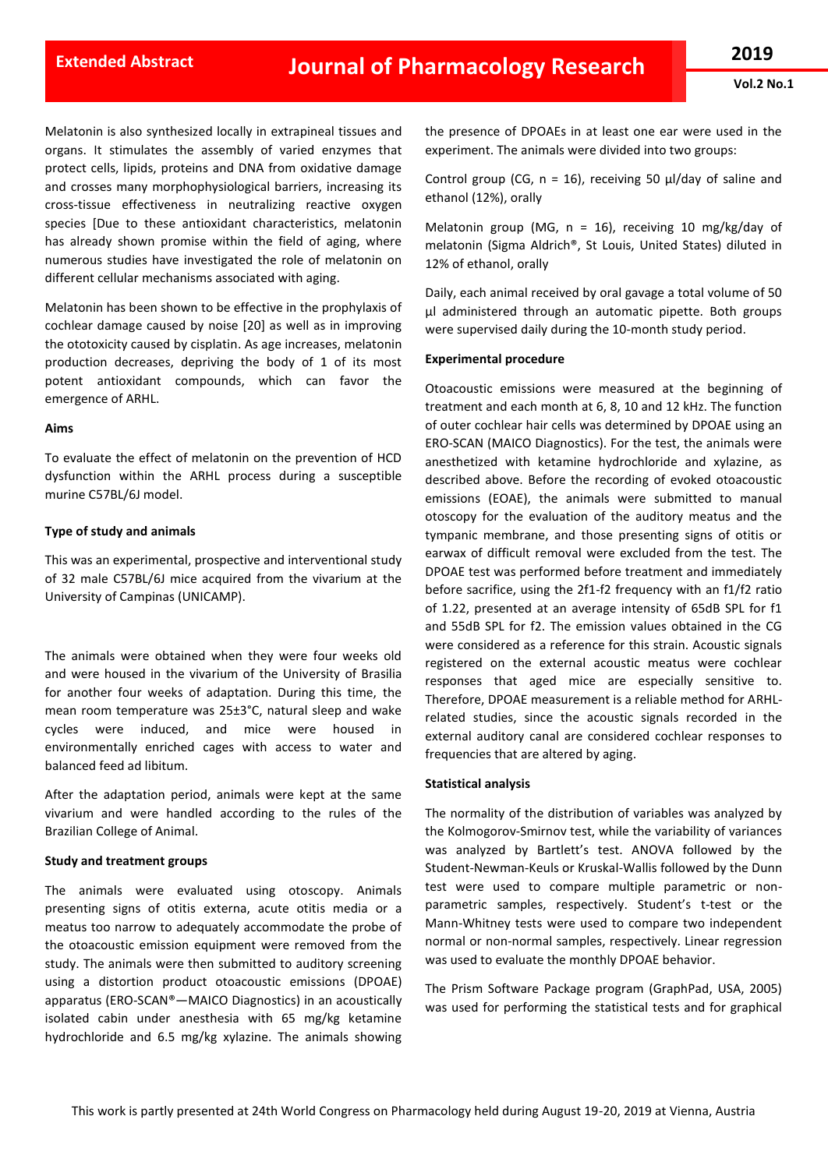Melatonin is also synthesized locally in extrapineal tissues and organs. It stimulates the assembly of varied enzymes that protect cells, lipids, proteins and DNA from oxidative damage and crosses many morphophysiological barriers, increasing its cross-tissue effectiveness in neutralizing reactive oxygen species [Due to these antioxidant characteristics, melatonin has already shown promise within the field of aging, where numerous studies have investigated the role of melatonin on different cellular mechanisms associated with aging.

Melatonin has been shown to be effective in the prophylaxis of cochlear damage caused by noise [20] as well as in improving the ototoxicity caused by cisplatin. As age increases, melatonin production decreases, depriving the body of 1 of its most potent antioxidant compounds, which can favor the emergence of ARHL.

#### **Aims**

To evaluate the effect of melatonin on the prevention of HCD dysfunction within the ARHL process during a susceptible murine C57BL/6J model.

## **Type of study and animals**

This was an experimental, prospective and interventional study of 32 male C57BL/6J mice acquired from the vivarium at the University of Campinas (UNICAMP).

The animals were obtained when they were four weeks old and were housed in the vivarium of the University of Brasilia for another four weeks of adaptation. During this time, the mean room temperature was 25±3°C, natural sleep and wake cycles were induced, and mice were housed in environmentally enriched cages with access to water and balanced feed ad libitum.

After the adaptation period, animals were kept at the same vivarium and were handled according to the rules of the Brazilian College of Animal.

## **Study and treatment groups**

The animals were evaluated using otoscopy. Animals presenting signs of otitis externa, acute otitis media or a meatus too narrow to adequately accommodate the probe of the otoacoustic emission equipment were removed from the study. The animals were then submitted to auditory screening using a distortion product otoacoustic emissions (DPOAE) apparatus (ERO-SCAN®—MAICO Diagnostics) in an acoustically isolated cabin under anesthesia with 65 mg/kg ketamine hydrochloride and 6.5 mg/kg xylazine. The animals showing the presence of DPOAEs in at least one ear were used in the experiment. The animals were divided into two groups:

Control group (CG,  $n = 16$ ), receiving 50 μl/day of saline and ethanol (12%), orally

Melatonin group (MG,  $n = 16$ ), receiving 10 mg/kg/day of melatonin (Sigma Aldrich®, St Louis, United States) diluted in 12% of ethanol, orally

Daily, each animal received by oral gavage a total volume of 50 μl administered through an automatic pipette. Both groups were supervised daily during the 10-month study period.

## **Experimental procedure**

Otoacoustic emissions were measured at the beginning of treatment and each month at 6, 8, 10 and 12 kHz. The function of outer cochlear hair cells was determined by DPOAE using an ERO-SCAN (MAICO Diagnostics). For the test, the animals were anesthetized with ketamine hydrochloride and xylazine, as described above. Before the recording of evoked otoacoustic emissions (EOAE), the animals were submitted to manual otoscopy for the evaluation of the auditory meatus and the tympanic membrane, and those presenting signs of otitis or earwax of difficult removal were excluded from the test. The DPOAE test was performed before treatment and immediately before sacrifice, using the 2f1-f2 frequency with an f1/f2 ratio of 1.22, presented at an average intensity of 65dB SPL for f1 and 55dB SPL for f2. The emission values obtained in the CG were considered as a reference for this strain. Acoustic signals registered on the external acoustic meatus were cochlear responses that aged mice are especially sensitive to. Therefore, DPOAE measurement is a reliable method for ARHLrelated studies, since the acoustic signals recorded in the external auditory canal are considered cochlear responses to frequencies that are altered by aging.

## **Statistical analysis**

The normality of the distribution of variables was analyzed by the Kolmogorov-Smirnov test, while the variability of variances was analyzed by Bartlett's test. ANOVA followed by the Student-Newman-Keuls or Kruskal-Wallis followed by the Dunn test were used to compare multiple parametric or nonparametric samples, respectively. Student's t-test or the Mann-Whitney tests were used to compare two independent normal or non-normal samples, respectively. Linear regression was used to evaluate the monthly DPOAE behavior.

The Prism Software Package program (GraphPad, USA, 2005) was used for performing the statistical tests and for graphical